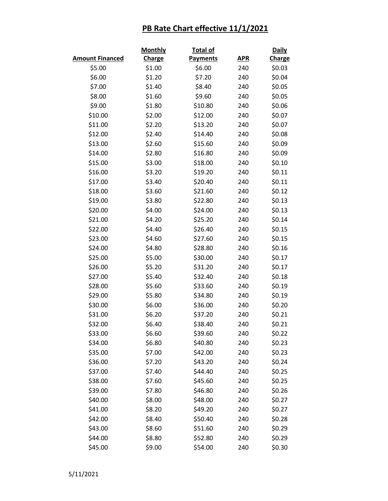|                        | <b>Monthly</b> | Total of        |            | <b>Daily</b>  |  |
|------------------------|----------------|-----------------|------------|---------------|--|
| <b>Amount Financed</b> | <b>Charge</b>  | <b>Payments</b> | <b>APR</b> | <b>Charge</b> |  |
| \$5.00                 | \$1.00         | \$6.00          | 240        | \$0.03        |  |
| \$6.00                 | \$1.20         | \$7.20          | 240        | \$0.04        |  |
| \$7.00                 | \$1.40         | \$8.40          | 240        | \$0.05        |  |
| \$8.00                 | \$1.60         | \$9.60          | 240        | \$0.05        |  |
| \$9.00                 | \$1.80         | \$10.80         | 240        | \$0.06        |  |
| \$10.00                | \$2.00         | \$12.00         | 240        | \$0.07        |  |
| \$11.00                | \$2.20         | \$13.20         | 240        | \$0.07        |  |
| \$12.00                | \$2.40         | \$14.40         | 240        | \$0.08        |  |
| \$13.00                | \$2.60         | \$15.60         | 240        | \$0.09        |  |
| \$14.00                | \$2.80         | \$16.80         | 240        | \$0.09        |  |
| \$15.00                | \$3.00         | \$18.00         | 240        | \$0.10        |  |
| \$16.00                | \$3.20         | \$19.20         | 240        | \$0.11        |  |
| \$17.00                | \$3.40         | \$20.40         | 240        | \$0.11        |  |
| \$18.00                | \$3.60         | \$21.60         | 240        | \$0.12        |  |
| \$19.00                | \$3.80         | \$22.80         | 240        | \$0.13        |  |
| \$20.00                | \$4.00         | \$24.00         | 240        | \$0.13        |  |
| \$21.00                | \$4.20         | \$25.20         | 240        | \$0.14        |  |
| \$22.00                | \$4.40         | \$26.40         | 240        | \$0.15        |  |
| \$23.00                | \$4.60         | \$27.60         | 240        | \$0.15        |  |
| \$24.00                | \$4.80         | \$28.80         | 240        | \$0.16        |  |
| \$25.00                | \$5.00         | \$30.00         | 240        | \$0.17        |  |
| \$26.00                | \$5.20         | \$31.20         | 240        | \$0.17        |  |
| \$27.00                | \$5.40         | \$32.40         | 240        | \$0.18        |  |
| \$28.00                | \$5.60         | \$33.60         | 240        | \$0.19        |  |
| \$29.00                | \$5.80         | \$34.80         | 240        | \$0.19        |  |
| \$30.00                | \$6.00         | \$36.00         | 240        | \$0.20        |  |
| \$31.00                | \$6.20         | \$37.20         | 240        | \$0.21        |  |
| \$32.00                | \$6.40         | \$38.40         | 240        | \$0.21        |  |
| \$33.00                | \$6.60         | \$39.60         | 240        | \$0.22        |  |
| \$34.00                | \$6.80         | \$40.80         | 240        | \$0.23        |  |
| \$35.00                | \$7.00         | \$42.00         | 240        | \$0.23        |  |
| \$36.00                | \$7.20         | \$43.20         | 240        | \$0.24        |  |
| \$37.00                | \$7.40         | \$44.40         | 240        | \$0.25        |  |
| \$38.00                | \$7.60         | \$45.60         | 240        | \$0.25        |  |
| \$39.00                | \$7.80         | \$46.80         | 240        | \$0.26        |  |
| \$40.00                | \$8.00         | \$48.00         | 240        | \$0.27        |  |
| \$41.00                | \$8.20         | \$49.20         | 240        | \$0.27        |  |
| \$42.00                | \$8.40         | \$50.40         | 240        | \$0.28        |  |
| \$43.00                | \$8.60         | \$51.60         | 240        | \$0.29        |  |
| \$44.00                | \$8.80         | \$52.80         | 240        | \$0.29        |  |
| \$45.00                | \$9.00         | \$54.00         | 240        | \$0.30        |  |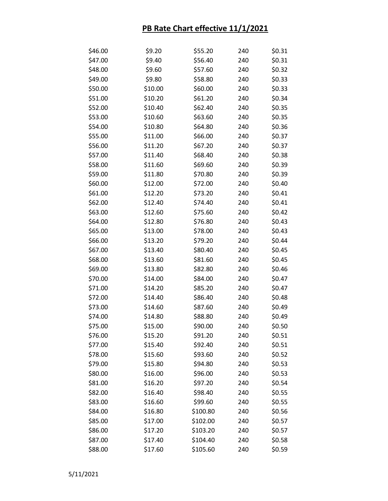| \$46.00 | \$9.20  | \$55.20  | 240 | \$0.31 |
|---------|---------|----------|-----|--------|
| \$47.00 | \$9.40  | \$56.40  | 240 | \$0.31 |
| \$48.00 | \$9.60  | \$57.60  | 240 | \$0.32 |
| \$49.00 | \$9.80  | \$58.80  | 240 | \$0.33 |
| \$50.00 | \$10.00 | \$60.00  | 240 | \$0.33 |
| \$51.00 | \$10.20 | \$61.20  | 240 | \$0.34 |
| \$52.00 | \$10.40 | \$62.40  | 240 | \$0.35 |
| \$53.00 | \$10.60 | \$63.60  | 240 | \$0.35 |
| \$54.00 | \$10.80 | \$64.80  | 240 | \$0.36 |
| \$55.00 | \$11.00 | \$66.00  | 240 | \$0.37 |
| \$56.00 | \$11.20 | \$67.20  | 240 | \$0.37 |
| \$57.00 | \$11.40 | \$68.40  | 240 | \$0.38 |
| \$58.00 | \$11.60 | \$69.60  | 240 | \$0.39 |
| \$59.00 | \$11.80 | \$70.80  | 240 | \$0.39 |
| \$60.00 | \$12.00 | \$72.00  | 240 | \$0.40 |
| \$61.00 | \$12.20 | \$73.20  | 240 | \$0.41 |
| \$62.00 | \$12.40 | \$74.40  | 240 | \$0.41 |
| \$63.00 | \$12.60 | \$75.60  | 240 | \$0.42 |
| \$64.00 | \$12.80 | \$76.80  | 240 | \$0.43 |
| \$65.00 | \$13.00 | \$78.00  | 240 | \$0.43 |
| \$66.00 | \$13.20 | \$79.20  | 240 | \$0.44 |
| \$67.00 | \$13.40 | \$80.40  | 240 | \$0.45 |
| \$68.00 | \$13.60 | \$81.60  | 240 | \$0.45 |
| \$69.00 | \$13.80 | \$82.80  | 240 | \$0.46 |
| \$70.00 | \$14.00 | \$84.00  | 240 | \$0.47 |
| \$71.00 | \$14.20 | \$85.20  | 240 | \$0.47 |
| \$72.00 | \$14.40 | \$86.40  | 240 | \$0.48 |
| \$73.00 | \$14.60 | \$87.60  | 240 | \$0.49 |
| \$74.00 | \$14.80 | \$88.80  | 240 | \$0.49 |
| \$75.00 | \$15.00 | \$90.00  | 240 | \$0.50 |
| \$76.00 | \$15.20 | \$91.20  | 240 | \$0.51 |
| \$77.00 | \$15.40 | \$92.40  | 240 | \$0.51 |
| \$78.00 | \$15.60 | \$93.60  | 240 | \$0.52 |
| \$79.00 | \$15.80 | \$94.80  | 240 | \$0.53 |
| \$80.00 | \$16.00 | \$96.00  | 240 | \$0.53 |
| \$81.00 | \$16.20 | \$97.20  | 240 | \$0.54 |
| \$82.00 | \$16.40 | \$98.40  | 240 | \$0.55 |
| \$83.00 | \$16.60 | \$99.60  | 240 | \$0.55 |
| \$84.00 | \$16.80 | \$100.80 | 240 | \$0.56 |
| \$85.00 | \$17.00 | \$102.00 | 240 | \$0.57 |
| \$86.00 | \$17.20 | \$103.20 | 240 | \$0.57 |
| \$87.00 | \$17.40 | \$104.40 | 240 | \$0.58 |
| \$88.00 | \$17.60 | \$105.60 | 240 | \$0.59 |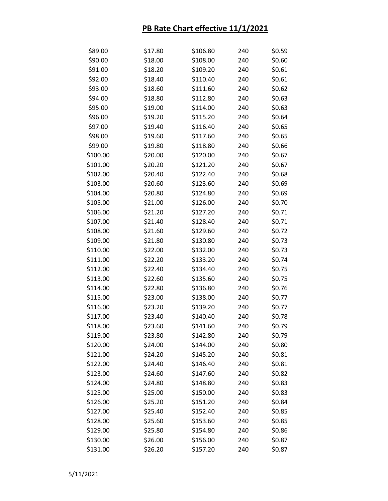| \$89.00  | \$17.80 | \$106.80 | 240 | \$0.59 |
|----------|---------|----------|-----|--------|
| \$90.00  | \$18.00 | \$108.00 | 240 | \$0.60 |
| \$91.00  | \$18.20 | \$109.20 | 240 | \$0.61 |
| \$92.00  | \$18.40 | \$110.40 | 240 | \$0.61 |
| \$93.00  | \$18.60 | \$111.60 | 240 | \$0.62 |
| \$94.00  | \$18.80 | \$112.80 | 240 | \$0.63 |
| \$95.00  | \$19.00 | \$114.00 | 240 | \$0.63 |
| \$96.00  | \$19.20 | \$115.20 | 240 | \$0.64 |
| \$97.00  | \$19.40 | \$116.40 | 240 | \$0.65 |
| \$98.00  | \$19.60 | \$117.60 | 240 | \$0.65 |
| \$99.00  | \$19.80 | \$118.80 | 240 | \$0.66 |
| \$100.00 | \$20.00 | \$120.00 | 240 | \$0.67 |
| \$101.00 | \$20.20 | \$121.20 | 240 | \$0.67 |
| \$102.00 | \$20.40 | \$122.40 | 240 | \$0.68 |
| \$103.00 | \$20.60 | \$123.60 | 240 | \$0.69 |
| \$104.00 | \$20.80 | \$124.80 | 240 | \$0.69 |
| \$105.00 | \$21.00 | \$126.00 | 240 | \$0.70 |
| \$106.00 | \$21.20 | \$127.20 | 240 | \$0.71 |
| \$107.00 | \$21.40 | \$128.40 | 240 | \$0.71 |
| \$108.00 | \$21.60 | \$129.60 | 240 | \$0.72 |
| \$109.00 | \$21.80 | \$130.80 | 240 | \$0.73 |
| \$110.00 | \$22.00 | \$132.00 | 240 | \$0.73 |
| \$111.00 | \$22.20 | \$133.20 | 240 | \$0.74 |
| \$112.00 | \$22.40 | \$134.40 | 240 | \$0.75 |
| \$113.00 | \$22.60 | \$135.60 | 240 | \$0.75 |
| \$114.00 | \$22.80 | \$136.80 | 240 | \$0.76 |
| \$115.00 | \$23.00 | \$138.00 | 240 | \$0.77 |
| \$116.00 | \$23.20 | \$139.20 | 240 | \$0.77 |
| \$117.00 | \$23.40 | \$140.40 | 240 | \$0.78 |
| \$118.00 | \$23.60 | \$141.60 | 240 | \$0.79 |
| \$119.00 | \$23.80 | \$142.80 | 240 | \$0.79 |
| \$120.00 | \$24.00 | \$144.00 | 240 | \$0.80 |
| \$121.00 | \$24.20 | \$145.20 | 240 | \$0.81 |
| \$122.00 | \$24.40 | \$146.40 | 240 | \$0.81 |
| \$123.00 | \$24.60 | \$147.60 | 240 | \$0.82 |
| \$124.00 | \$24.80 | \$148.80 | 240 | \$0.83 |
| \$125.00 | \$25.00 | \$150.00 | 240 | \$0.83 |
| \$126.00 | \$25.20 | \$151.20 | 240 | \$0.84 |
| \$127.00 | \$25.40 | \$152.40 | 240 | \$0.85 |
| \$128.00 | \$25.60 | \$153.60 | 240 | \$0.85 |
| \$129.00 | \$25.80 | \$154.80 | 240 | \$0.86 |
| \$130.00 | \$26.00 | \$156.00 | 240 | \$0.87 |
| \$131.00 | \$26.20 | \$157.20 | 240 | \$0.87 |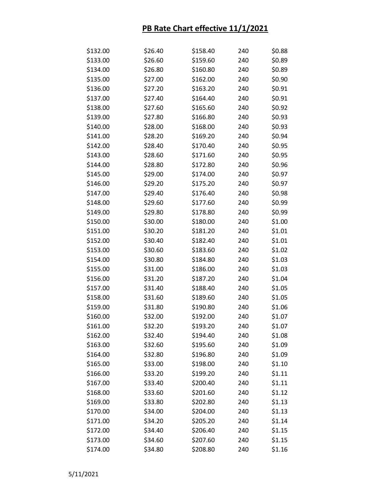| \$132.00 | \$26.40 | \$158.40 | 240 | \$0.88 |
|----------|---------|----------|-----|--------|
| \$133.00 | \$26.60 | \$159.60 | 240 | \$0.89 |
| \$134.00 | \$26.80 | \$160.80 | 240 | \$0.89 |
| \$135.00 | \$27.00 | \$162.00 | 240 | \$0.90 |
| \$136.00 | \$27.20 | \$163.20 | 240 | \$0.91 |
| \$137.00 | \$27.40 | \$164.40 | 240 | \$0.91 |
| \$138.00 | \$27.60 | \$165.60 | 240 | \$0.92 |
| \$139.00 | \$27.80 | \$166.80 | 240 | \$0.93 |
| \$140.00 | \$28.00 | \$168.00 | 240 | \$0.93 |
| \$141.00 | \$28.20 | \$169.20 | 240 | \$0.94 |
| \$142.00 | \$28.40 | \$170.40 | 240 | \$0.95 |
| \$143.00 | \$28.60 | \$171.60 | 240 | \$0.95 |
| \$144.00 | \$28.80 | \$172.80 | 240 | \$0.96 |
| \$145.00 | \$29.00 | \$174.00 | 240 | \$0.97 |
| \$146.00 | \$29.20 | \$175.20 | 240 | \$0.97 |
| \$147.00 | \$29.40 | \$176.40 | 240 | \$0.98 |
| \$148.00 | \$29.60 | \$177.60 | 240 | \$0.99 |
| \$149.00 | \$29.80 | \$178.80 | 240 | \$0.99 |
| \$150.00 | \$30.00 | \$180.00 | 240 | \$1.00 |
| \$151.00 | \$30.20 | \$181.20 | 240 | \$1.01 |
| \$152.00 | \$30.40 | \$182.40 | 240 | \$1.01 |
| \$153.00 | \$30.60 | \$183.60 | 240 | \$1.02 |
| \$154.00 | \$30.80 | \$184.80 | 240 | \$1.03 |
| \$155.00 | \$31.00 | \$186.00 | 240 | \$1.03 |
| \$156.00 | \$31.20 | \$187.20 | 240 | \$1.04 |
| \$157.00 | \$31.40 | \$188.40 | 240 | \$1.05 |
| \$158.00 | \$31.60 | \$189.60 | 240 | \$1.05 |
| \$159.00 | \$31.80 | \$190.80 | 240 | \$1.06 |
| \$160.00 | \$32.00 | \$192.00 | 240 | \$1.07 |
| \$161.00 | \$32.20 | \$193.20 | 240 | \$1.07 |
| \$162.00 | \$32.40 | \$194.40 | 240 | \$1.08 |
| \$163.00 | \$32.60 | \$195.60 | 240 | \$1.09 |
| \$164.00 | \$32.80 | \$196.80 | 240 | \$1.09 |
| \$165.00 | \$33.00 | \$198.00 | 240 | \$1.10 |
| \$166.00 | \$33.20 | \$199.20 | 240 | \$1.11 |
| \$167.00 | \$33.40 | \$200.40 | 240 | \$1.11 |
| \$168.00 | \$33.60 | \$201.60 | 240 | \$1.12 |
| \$169.00 | \$33.80 | \$202.80 | 240 | \$1.13 |
| \$170.00 | \$34.00 | \$204.00 | 240 | \$1.13 |
| \$171.00 | \$34.20 | \$205.20 | 240 | \$1.14 |
| \$172.00 | \$34.40 | \$206.40 | 240 | \$1.15 |
| \$173.00 | \$34.60 | \$207.60 | 240 | \$1.15 |
| \$174.00 | \$34.80 | \$208.80 | 240 | \$1.16 |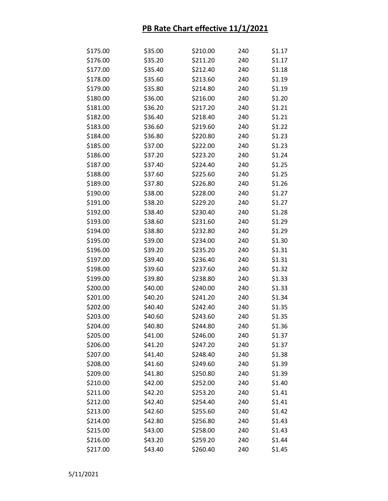| \$175.00 | \$35.00 | \$210.00 | 240 | \$1.17 |
|----------|---------|----------|-----|--------|
| \$176.00 | \$35.20 | \$211.20 | 240 | \$1.17 |
| \$177.00 | \$35.40 | \$212.40 | 240 | \$1.18 |
| \$178.00 | \$35.60 | \$213.60 | 240 | \$1.19 |
| \$179.00 | \$35.80 | \$214.80 | 240 | \$1.19 |
| \$180.00 | \$36.00 | \$216.00 | 240 | \$1.20 |
| \$181.00 | \$36.20 | \$217.20 | 240 | \$1.21 |
| \$182.00 | \$36.40 | \$218.40 | 240 | \$1.21 |
| \$183.00 | \$36.60 | \$219.60 | 240 | \$1.22 |
| \$184.00 | \$36.80 | \$220.80 | 240 | \$1.23 |
| \$185.00 | \$37.00 | \$222.00 | 240 | \$1.23 |
| \$186.00 | \$37.20 | \$223.20 | 240 | \$1.24 |
| \$187.00 | \$37.40 | \$224.40 | 240 | \$1.25 |
| \$188.00 | \$37.60 | \$225.60 | 240 | \$1.25 |
| \$189.00 | \$37.80 | \$226.80 | 240 | \$1.26 |
| \$190.00 | \$38.00 | \$228.00 | 240 | \$1.27 |
| \$191.00 | \$38.20 | \$229.20 | 240 | \$1.27 |
| \$192.00 | \$38.40 | \$230.40 | 240 | \$1.28 |
| \$193.00 | \$38.60 | \$231.60 | 240 | \$1.29 |
| \$194.00 | \$38.80 | \$232.80 | 240 | \$1.29 |
| \$195.00 | \$39.00 | \$234.00 | 240 | \$1.30 |
| \$196.00 | \$39.20 | \$235.20 | 240 | \$1.31 |
| \$197.00 | \$39.40 | \$236.40 | 240 | \$1.31 |
| \$198.00 | \$39.60 | \$237.60 | 240 | \$1.32 |
| \$199.00 | \$39.80 | \$238.80 | 240 | \$1.33 |
| \$200.00 | \$40.00 | \$240.00 | 240 | \$1.33 |
| \$201.00 | \$40.20 | \$241.20 | 240 | \$1.34 |
| \$202.00 | \$40.40 | \$242.40 | 240 | \$1.35 |
| \$203.00 | \$40.60 | \$243.60 | 240 | \$1.35 |
| \$204.00 | \$40.80 | \$244.80 | 240 | \$1.36 |
| \$205.00 | \$41.00 | \$246.00 | 240 | \$1.37 |
| \$206.00 | \$41.20 | \$247.20 | 240 | \$1.37 |
| \$207.00 | \$41.40 | \$248.40 | 240 | \$1.38 |
| \$208.00 | \$41.60 | \$249.60 | 240 | \$1.39 |
| \$209.00 | \$41.80 | \$250.80 | 240 | \$1.39 |
| \$210.00 | \$42.00 | \$252.00 | 240 | \$1.40 |
| \$211.00 | \$42.20 | \$253.20 | 240 | \$1.41 |
| \$212.00 | \$42.40 | \$254.40 | 240 | \$1.41 |
| \$213.00 | \$42.60 | \$255.60 | 240 | \$1.42 |
| \$214.00 | \$42.80 | \$256.80 | 240 | \$1.43 |
| \$215.00 | \$43.00 | \$258.00 | 240 | \$1.43 |
| \$216.00 | \$43.20 | \$259.20 | 240 | \$1.44 |
| \$217.00 | \$43.40 | \$260.40 | 240 | \$1.45 |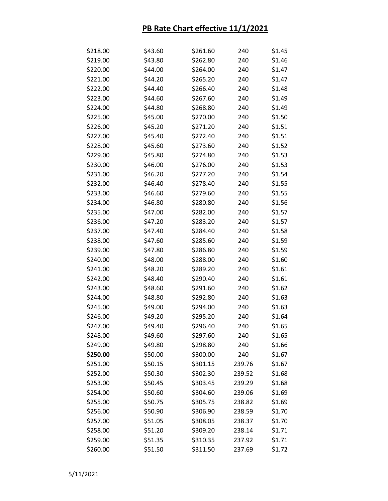| \$218.00 | \$43.60 | \$261.60 | 240    | \$1.45 |
|----------|---------|----------|--------|--------|
| \$219.00 | \$43.80 | \$262.80 | 240    | \$1.46 |
| \$220.00 | \$44.00 | \$264.00 | 240    | \$1.47 |
| \$221.00 | \$44.20 | \$265.20 | 240    | \$1.47 |
| \$222.00 | \$44.40 | \$266.40 | 240    | \$1.48 |
| \$223.00 | \$44.60 | \$267.60 | 240    | \$1.49 |
| \$224.00 | \$44.80 | \$268.80 | 240    | \$1.49 |
| \$225.00 | \$45.00 | \$270.00 | 240    | \$1.50 |
| \$226.00 | \$45.20 | \$271.20 | 240    | \$1.51 |
| \$227.00 | \$45.40 | \$272.40 | 240    | \$1.51 |
| \$228.00 | \$45.60 | \$273.60 | 240    | \$1.52 |
| \$229.00 | \$45.80 | \$274.80 | 240    | \$1.53 |
| \$230.00 | \$46.00 | \$276.00 | 240    | \$1.53 |
| \$231.00 | \$46.20 | \$277.20 | 240    | \$1.54 |
| \$232.00 | \$46.40 | \$278.40 | 240    | \$1.55 |
| \$233.00 | \$46.60 | \$279.60 | 240    | \$1.55 |
| \$234.00 | \$46.80 | \$280.80 | 240    | \$1.56 |
| \$235.00 | \$47.00 | \$282.00 | 240    | \$1.57 |
| \$236.00 | \$47.20 | \$283.20 | 240    | \$1.57 |
| \$237.00 | \$47.40 | \$284.40 | 240    | \$1.58 |
| \$238.00 | \$47.60 | \$285.60 | 240    | \$1.59 |
| \$239.00 | \$47.80 | \$286.80 | 240    | \$1.59 |
| \$240.00 | \$48.00 | \$288.00 | 240    | \$1.60 |
| \$241.00 | \$48.20 | \$289.20 | 240    | \$1.61 |
| \$242.00 | \$48.40 | \$290.40 | 240    | \$1.61 |
| \$243.00 | \$48.60 | \$291.60 | 240    | \$1.62 |
| \$244.00 | \$48.80 | \$292.80 | 240    | \$1.63 |
| \$245.00 | \$49.00 | \$294.00 | 240    | \$1.63 |
| \$246.00 | \$49.20 | \$295.20 | 240    | \$1.64 |
| \$247.00 | \$49.40 | \$296.40 | 240    | \$1.65 |
| \$248.00 | \$49.60 | \$297.60 | 240    | \$1.65 |
| \$249.00 | \$49.80 | \$298.80 | 240    | \$1.66 |
| \$250.00 | \$50.00 | \$300.00 | 240    | \$1.67 |
| \$251.00 | \$50.15 | \$301.15 | 239.76 | \$1.67 |
| \$252.00 | \$50.30 | \$302.30 | 239.52 | \$1.68 |
| \$253.00 | \$50.45 | \$303.45 | 239.29 | \$1.68 |
| \$254.00 | \$50.60 | \$304.60 | 239.06 | \$1.69 |
| \$255.00 | \$50.75 | \$305.75 | 238.82 | \$1.69 |
| \$256.00 | \$50.90 | \$306.90 | 238.59 | \$1.70 |
| \$257.00 | \$51.05 | \$308.05 | 238.37 | \$1.70 |
| \$258.00 | \$51.20 | \$309.20 | 238.14 | \$1.71 |
| \$259.00 | \$51.35 | \$310.35 | 237.92 | \$1.71 |
| \$260.00 | \$51.50 | \$311.50 | 237.69 | \$1.72 |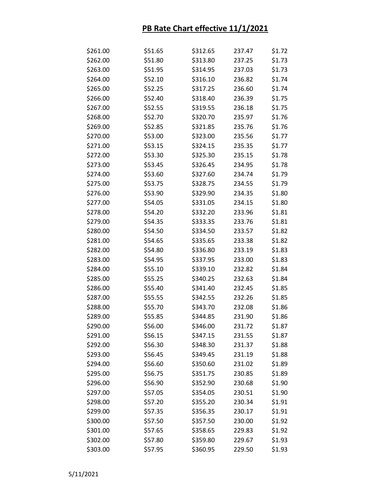| \$261.00 | \$51.65 | \$312.65 | 237.47 | \$1.72 |
|----------|---------|----------|--------|--------|
| \$262.00 | \$51.80 | \$313.80 | 237.25 | \$1.73 |
| \$263.00 | \$51.95 | \$314.95 | 237.03 | \$1.73 |
| \$264.00 | \$52.10 | \$316.10 | 236.82 | \$1.74 |
| \$265.00 | \$52.25 | \$317.25 | 236.60 | \$1.74 |
| \$266.00 | \$52.40 | \$318.40 | 236.39 | \$1.75 |
| \$267.00 | \$52.55 | \$319.55 | 236.18 | \$1.75 |
| \$268.00 | \$52.70 | \$320.70 | 235.97 | \$1.76 |
| \$269.00 | \$52.85 | \$321.85 | 235.76 | \$1.76 |
| \$270.00 | \$53.00 | \$323.00 | 235.56 | \$1.77 |
| \$271.00 | \$53.15 | \$324.15 | 235.35 | \$1.77 |
| \$272.00 | \$53.30 | \$325.30 | 235.15 | \$1.78 |
| \$273.00 | \$53.45 | \$326.45 | 234.95 | \$1.78 |
| \$274.00 | \$53.60 | \$327.60 | 234.74 | \$1.79 |
| \$275.00 | \$53.75 | \$328.75 | 234.55 | \$1.79 |
| \$276.00 | \$53.90 | \$329.90 | 234.35 | \$1.80 |
| \$277.00 | \$54.05 | \$331.05 | 234.15 | \$1.80 |
| \$278.00 | \$54.20 | \$332.20 | 233.96 | \$1.81 |
| \$279.00 | \$54.35 | \$333.35 | 233.76 | \$1.81 |
| \$280.00 | \$54.50 | \$334.50 | 233.57 | \$1.82 |
| \$281.00 | \$54.65 | \$335.65 | 233.38 | \$1.82 |
| \$282.00 | \$54.80 | \$336.80 | 233.19 | \$1.83 |
| \$283.00 | \$54.95 | \$337.95 | 233.00 | \$1.83 |
| \$284.00 | \$55.10 | \$339.10 | 232.82 | \$1.84 |
| \$285.00 | \$55.25 | \$340.25 | 232.63 | \$1.84 |
| \$286.00 | \$55.40 | \$341.40 | 232.45 | \$1.85 |
| \$287.00 | \$55.55 | \$342.55 | 232.26 | \$1.85 |
| \$288.00 | \$55.70 | \$343.70 | 232.08 | \$1.86 |
| \$289.00 | \$55.85 | \$344.85 | 231.90 | \$1.86 |
| \$290.00 | \$56.00 | \$346.00 | 231.72 | \$1.87 |
| \$291.00 | \$56.15 | \$347.15 | 231.55 | \$1.87 |
| \$292.00 | \$56.30 | \$348.30 | 231.37 | \$1.88 |
| \$293.00 | \$56.45 | \$349.45 | 231.19 | \$1.88 |
| \$294.00 | \$56.60 | \$350.60 | 231.02 | \$1.89 |
| \$295.00 | \$56.75 | \$351.75 | 230.85 | \$1.89 |
| \$296.00 | \$56.90 | \$352.90 | 230.68 | \$1.90 |
| \$297.00 | \$57.05 | \$354.05 | 230.51 | \$1.90 |
| \$298.00 | \$57.20 | \$355.20 | 230.34 | \$1.91 |
| \$299.00 | \$57.35 | \$356.35 | 230.17 | \$1.91 |
| \$300.00 | \$57.50 | \$357.50 | 230.00 | \$1.92 |
| \$301.00 | \$57.65 | \$358.65 | 229.83 | \$1.92 |
| \$302.00 | \$57.80 | \$359.80 | 229.67 | \$1.93 |
| \$303.00 | \$57.95 | \$360.95 | 229.50 | \$1.93 |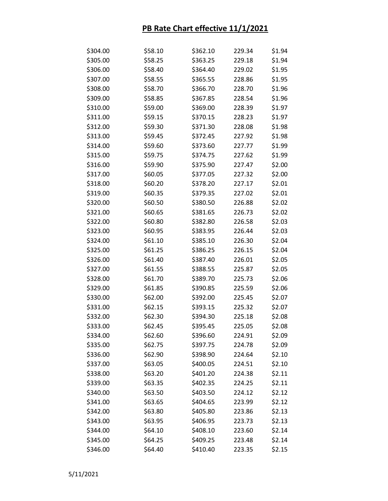| \$304.00 | \$58.10 | \$362.10 | 229.34 | \$1.94 |
|----------|---------|----------|--------|--------|
| \$305.00 | \$58.25 | \$363.25 | 229.18 | \$1.94 |
| \$306.00 | \$58.40 | \$364.40 | 229.02 | \$1.95 |
| \$307.00 | \$58.55 | \$365.55 | 228.86 | \$1.95 |
| \$308.00 | \$58.70 | \$366.70 | 228.70 | \$1.96 |
| \$309.00 | \$58.85 | \$367.85 | 228.54 | \$1.96 |
| \$310.00 | \$59.00 | \$369.00 | 228.39 | \$1.97 |
| \$311.00 | \$59.15 | \$370.15 | 228.23 | \$1.97 |
| \$312.00 | \$59.30 | \$371.30 | 228.08 | \$1.98 |
| \$313.00 | \$59.45 | \$372.45 | 227.92 | \$1.98 |
| \$314.00 | \$59.60 | \$373.60 | 227.77 | \$1.99 |
| \$315.00 | \$59.75 | \$374.75 | 227.62 | \$1.99 |
| \$316.00 | \$59.90 | \$375.90 | 227.47 | \$2.00 |
| \$317.00 | \$60.05 | \$377.05 | 227.32 | \$2.00 |
| \$318.00 | \$60.20 | \$378.20 | 227.17 | \$2.01 |
| \$319.00 | \$60.35 | \$379.35 | 227.02 | \$2.01 |
| \$320.00 | \$60.50 | \$380.50 | 226.88 | \$2.02 |
| \$321.00 | \$60.65 | \$381.65 | 226.73 | \$2.02 |
| \$322.00 | \$60.80 | \$382.80 | 226.58 | \$2.03 |
| \$323.00 | \$60.95 | \$383.95 | 226.44 | \$2.03 |
| \$324.00 | \$61.10 | \$385.10 | 226.30 | \$2.04 |
| \$325.00 | \$61.25 | \$386.25 | 226.15 | \$2.04 |
| \$326.00 | \$61.40 | \$387.40 | 226.01 | \$2.05 |
| \$327.00 | \$61.55 | \$388.55 | 225.87 | \$2.05 |
| \$328.00 | \$61.70 | \$389.70 | 225.73 | \$2.06 |
| \$329.00 | \$61.85 | \$390.85 | 225.59 | \$2.06 |
| \$330.00 | \$62.00 | \$392.00 | 225.45 | \$2.07 |
| \$331.00 | \$62.15 | \$393.15 | 225.32 | \$2.07 |
| \$332.00 | \$62.30 | \$394.30 | 225.18 | \$2.08 |
| \$333.00 | \$62.45 | \$395.45 | 225.05 | \$2.08 |
| \$334.00 | \$62.60 | \$396.60 | 224.91 | \$2.09 |
| \$335.00 | \$62.75 | \$397.75 | 224.78 | \$2.09 |
| \$336.00 | \$62.90 | \$398.90 | 224.64 | \$2.10 |
| \$337.00 | \$63.05 | \$400.05 | 224.51 | \$2.10 |
| \$338.00 | \$63.20 | \$401.20 | 224.38 | \$2.11 |
| \$339.00 | \$63.35 | \$402.35 | 224.25 | \$2.11 |
| \$340.00 | \$63.50 | \$403.50 | 224.12 | \$2.12 |
| \$341.00 | \$63.65 | \$404.65 | 223.99 | \$2.12 |
| \$342.00 | \$63.80 | \$405.80 | 223.86 | \$2.13 |
| \$343.00 | \$63.95 | \$406.95 | 223.73 | \$2.13 |
| \$344.00 | \$64.10 | \$408.10 | 223.60 | \$2.14 |
| \$345.00 | \$64.25 | \$409.25 | 223.48 | \$2.14 |
| \$346.00 | \$64.40 | \$410.40 | 223.35 | \$2.15 |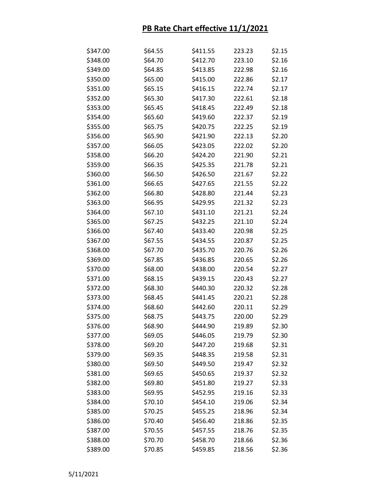| \$347.00 | \$64.55 | \$411.55 | 223.23 | \$2.15 |
|----------|---------|----------|--------|--------|
| \$348.00 | \$64.70 | \$412.70 | 223.10 | \$2.16 |
| \$349.00 | \$64.85 | \$413.85 | 222.98 | \$2.16 |
| \$350.00 | \$65.00 | \$415.00 | 222.86 | \$2.17 |
| \$351.00 | \$65.15 | \$416.15 | 222.74 | \$2.17 |
| \$352.00 | \$65.30 | \$417.30 | 222.61 | \$2.18 |
| \$353.00 | \$65.45 | \$418.45 | 222.49 | \$2.18 |
| \$354.00 | \$65.60 | \$419.60 | 222.37 | \$2.19 |
| \$355.00 | \$65.75 | \$420.75 | 222.25 | \$2.19 |
| \$356.00 | \$65.90 | \$421.90 | 222.13 | \$2.20 |
| \$357.00 | \$66.05 | \$423.05 | 222.02 | \$2.20 |
| \$358.00 | \$66.20 | \$424.20 | 221.90 | \$2.21 |
| \$359.00 | \$66.35 | \$425.35 | 221.78 | \$2.21 |
| \$360.00 | \$66.50 | \$426.50 | 221.67 | \$2.22 |
| \$361.00 | \$66.65 | \$427.65 | 221.55 | \$2.22 |
| \$362.00 | \$66.80 | \$428.80 | 221.44 | \$2.23 |
| \$363.00 | \$66.95 | \$429.95 | 221.32 | \$2.23 |
| \$364.00 | \$67.10 | \$431.10 | 221.21 | \$2.24 |
| \$365.00 | \$67.25 | \$432.25 | 221.10 | \$2.24 |
| \$366.00 | \$67.40 | \$433.40 | 220.98 | \$2.25 |
| \$367.00 | \$67.55 | \$434.55 | 220.87 | \$2.25 |
| \$368.00 | \$67.70 | \$435.70 | 220.76 | \$2.26 |
| \$369.00 | \$67.85 | \$436.85 | 220.65 | \$2.26 |
| \$370.00 | \$68.00 | \$438.00 | 220.54 | \$2.27 |
| \$371.00 | \$68.15 | \$439.15 | 220.43 | \$2.27 |
| \$372.00 | \$68.30 | \$440.30 | 220.32 | \$2.28 |
| \$373.00 | \$68.45 | \$441.45 | 220.21 | \$2.28 |
| \$374.00 | \$68.60 | \$442.60 | 220.11 | \$2.29 |
| \$375.00 | \$68.75 | \$443.75 | 220.00 | \$2.29 |
| \$376.00 | \$68.90 | \$444.90 | 219.89 | \$2.30 |
| \$377.00 | \$69.05 | \$446.05 | 219.79 | \$2.30 |
| \$378.00 | \$69.20 | \$447.20 | 219.68 | \$2.31 |
| \$379.00 | \$69.35 | \$448.35 | 219.58 | \$2.31 |
| \$380.00 | \$69.50 | \$449.50 | 219.47 | \$2.32 |
| \$381.00 | \$69.65 | \$450.65 | 219.37 | \$2.32 |
| \$382.00 | \$69.80 | \$451.80 | 219.27 | \$2.33 |
| \$383.00 | \$69.95 | \$452.95 | 219.16 | \$2.33 |
| \$384.00 | \$70.10 | \$454.10 | 219.06 | \$2.34 |
| \$385.00 | \$70.25 | \$455.25 | 218.96 | \$2.34 |
| \$386.00 | \$70.40 | \$456.40 | 218.86 | \$2.35 |
| \$387.00 | \$70.55 | \$457.55 | 218.76 | \$2.35 |
| \$388.00 | \$70.70 | \$458.70 | 218.66 | \$2.36 |
| \$389.00 | \$70.85 | \$459.85 | 218.56 | \$2.36 |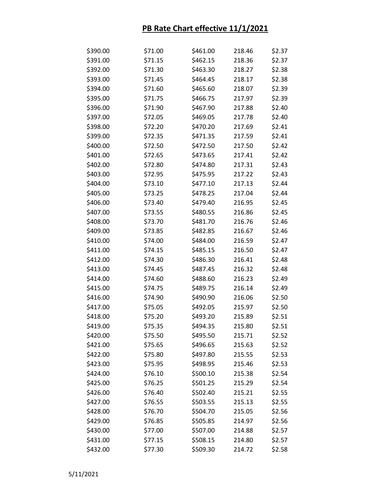| \$390.00 | \$71.00 | \$461.00 | 218.46 | \$2.37 |
|----------|---------|----------|--------|--------|
| \$391.00 | \$71.15 | \$462.15 | 218.36 | \$2.37 |
| \$392.00 | \$71.30 | \$463.30 | 218.27 | \$2.38 |
| \$393.00 | \$71.45 | \$464.45 | 218.17 | \$2.38 |
| \$394.00 | \$71.60 | \$465.60 | 218.07 | \$2.39 |
| \$395.00 | \$71.75 | \$466.75 | 217.97 | \$2.39 |
| \$396.00 | \$71.90 | \$467.90 | 217.88 | \$2.40 |
| \$397.00 | \$72.05 | \$469.05 | 217.78 | \$2.40 |
| \$398.00 | \$72.20 | \$470.20 | 217.69 | \$2.41 |
| \$399.00 | \$72.35 | \$471.35 | 217.59 | \$2.41 |
| \$400.00 | \$72.50 | \$472.50 | 217.50 | \$2.42 |
| \$401.00 | \$72.65 | \$473.65 | 217.41 | \$2.42 |
| \$402.00 | \$72.80 | \$474.80 | 217.31 | \$2.43 |
| \$403.00 | \$72.95 | \$475.95 | 217.22 | \$2.43 |
| \$404.00 | \$73.10 | \$477.10 | 217.13 | \$2.44 |
| \$405.00 | \$73.25 | \$478.25 | 217.04 | \$2.44 |
| \$406.00 | \$73.40 | \$479.40 | 216.95 | \$2.45 |
| \$407.00 | \$73.55 | \$480.55 | 216.86 | \$2.45 |
| \$408.00 | \$73.70 | \$481.70 | 216.76 | \$2.46 |
| \$409.00 | \$73.85 | \$482.85 | 216.67 | \$2.46 |
| \$410.00 | \$74.00 | \$484.00 | 216.59 | \$2.47 |
| \$411.00 | \$74.15 | \$485.15 | 216.50 | \$2.47 |
| \$412.00 | \$74.30 | \$486.30 | 216.41 | \$2.48 |
| \$413.00 | \$74.45 | \$487.45 | 216.32 | \$2.48 |
| \$414.00 | \$74.60 | \$488.60 | 216.23 | \$2.49 |
| \$415.00 | \$74.75 | \$489.75 | 216.14 | \$2.49 |
| \$416.00 | \$74.90 | \$490.90 | 216.06 | \$2.50 |
| \$417.00 | \$75.05 | \$492.05 | 215.97 | \$2.50 |
| \$418.00 | \$75.20 | \$493.20 | 215.89 | \$2.51 |
| \$419.00 | \$75.35 | \$494.35 | 215.80 | \$2.51 |
| \$420.00 | \$75.50 | \$495.50 | 215.71 | \$2.52 |
| \$421.00 | \$75.65 | \$496.65 | 215.63 | \$2.52 |
| \$422.00 | \$75.80 | \$497.80 | 215.55 | \$2.53 |
| \$423.00 | \$75.95 | \$498.95 | 215.46 | \$2.53 |
| \$424.00 | \$76.10 | \$500.10 | 215.38 | \$2.54 |
| \$425.00 | \$76.25 | \$501.25 | 215.29 | \$2.54 |
| \$426.00 | \$76.40 | \$502.40 | 215.21 | \$2.55 |
| \$427.00 | \$76.55 | \$503.55 | 215.13 | \$2.55 |
| \$428.00 | \$76.70 | \$504.70 | 215.05 | \$2.56 |
| \$429.00 | \$76.85 | \$505.85 | 214.97 | \$2.56 |
| \$430.00 | \$77.00 | \$507.00 | 214.88 | \$2.57 |
| \$431.00 | \$77.15 | \$508.15 | 214.80 | \$2.57 |
| \$432.00 | \$77.30 | \$509.30 | 214.72 | \$2.58 |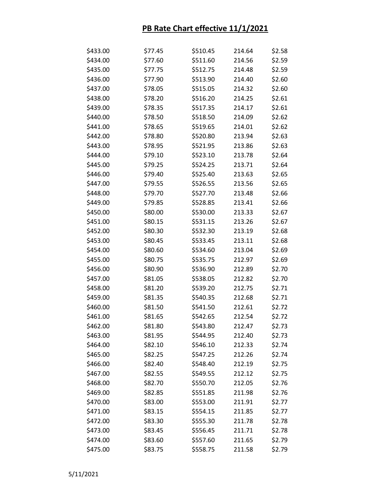| \$433.00 | \$77.45 | \$510.45 | 214.64 | \$2.58 |
|----------|---------|----------|--------|--------|
| \$434.00 | \$77.60 | \$511.60 | 214.56 | \$2.59 |
| \$435.00 | \$77.75 | \$512.75 | 214.48 | \$2.59 |
| \$436.00 | \$77.90 | \$513.90 | 214.40 | \$2.60 |
| \$437.00 | \$78.05 | \$515.05 | 214.32 | \$2.60 |
| \$438.00 | \$78.20 | \$516.20 | 214.25 | \$2.61 |
| \$439.00 | \$78.35 | \$517.35 | 214.17 | \$2.61 |
| \$440.00 | \$78.50 | \$518.50 | 214.09 | \$2.62 |
| \$441.00 | \$78.65 | \$519.65 | 214.01 | \$2.62 |
| \$442.00 | \$78.80 | \$520.80 | 213.94 | \$2.63 |
| \$443.00 | \$78.95 | \$521.95 | 213.86 | \$2.63 |
| \$444.00 | \$79.10 | \$523.10 | 213.78 | \$2.64 |
| \$445.00 | \$79.25 | \$524.25 | 213.71 | \$2.64 |
| \$446.00 | \$79.40 | \$525.40 | 213.63 | \$2.65 |
| \$447.00 | \$79.55 | \$526.55 | 213.56 | \$2.65 |
| \$448.00 | \$79.70 | \$527.70 | 213.48 | \$2.66 |
| \$449.00 | \$79.85 | \$528.85 | 213.41 | \$2.66 |
| \$450.00 | \$80.00 | \$530.00 | 213.33 | \$2.67 |
| \$451.00 | \$80.15 | \$531.15 | 213.26 | \$2.67 |
| \$452.00 | \$80.30 | \$532.30 | 213.19 | \$2.68 |
| \$453.00 | \$80.45 | \$533.45 | 213.11 | \$2.68 |
| \$454.00 | \$80.60 | \$534.60 | 213.04 | \$2.69 |
| \$455.00 | \$80.75 | \$535.75 | 212.97 | \$2.69 |
| \$456.00 | \$80.90 | \$536.90 | 212.89 | \$2.70 |
| \$457.00 | \$81.05 | \$538.05 | 212.82 | \$2.70 |
| \$458.00 | \$81.20 | \$539.20 | 212.75 | \$2.71 |
| \$459.00 | \$81.35 | \$540.35 | 212.68 | \$2.71 |
| \$460.00 | \$81.50 | \$541.50 | 212.61 | \$2.72 |
| \$461.00 | \$81.65 | \$542.65 | 212.54 | \$2.72 |
| \$462.00 | \$81.80 | \$543.80 | 212.47 | \$2.73 |
| \$463.00 | \$81.95 | \$544.95 | 212.40 | \$2.73 |
| \$464.00 | \$82.10 | \$546.10 | 212.33 | \$2.74 |
| \$465.00 | \$82.25 | \$547.25 | 212.26 | \$2.74 |
| \$466.00 | \$82.40 | \$548.40 | 212.19 | \$2.75 |
| \$467.00 | \$82.55 | \$549.55 | 212.12 | \$2.75 |
| \$468.00 | \$82.70 | \$550.70 | 212.05 | \$2.76 |
| \$469.00 | \$82.85 | \$551.85 | 211.98 | \$2.76 |
| \$470.00 | \$83.00 | \$553.00 | 211.91 | \$2.77 |
| \$471.00 | \$83.15 | \$554.15 | 211.85 | \$2.77 |
| \$472.00 | \$83.30 | \$555.30 | 211.78 | \$2.78 |
| \$473.00 | \$83.45 | \$556.45 | 211.71 | \$2.78 |
| \$474.00 | \$83.60 | \$557.60 | 211.65 | \$2.79 |
| \$475.00 | \$83.75 | \$558.75 | 211.58 | \$2.79 |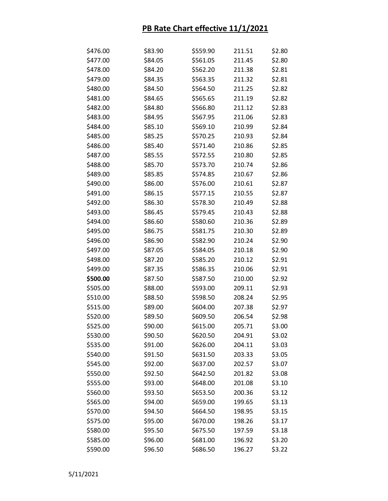| \$476.00 | \$83.90 | \$559.90 | 211.51 | \$2.80 |
|----------|---------|----------|--------|--------|
| \$477.00 | \$84.05 | \$561.05 | 211.45 | \$2.80 |
| \$478.00 | \$84.20 | \$562.20 | 211.38 | \$2.81 |
| \$479.00 | \$84.35 | \$563.35 | 211.32 | \$2.81 |
| \$480.00 | \$84.50 | \$564.50 | 211.25 | \$2.82 |
| \$481.00 | \$84.65 | \$565.65 | 211.19 | \$2.82 |
| \$482.00 | \$84.80 | \$566.80 | 211.12 | \$2.83 |
| \$483.00 | \$84.95 | \$567.95 | 211.06 | \$2.83 |
| \$484.00 | \$85.10 | \$569.10 | 210.99 | \$2.84 |
| \$485.00 | \$85.25 | \$570.25 | 210.93 | \$2.84 |
| \$486.00 | \$85.40 | \$571.40 | 210.86 | \$2.85 |
| \$487.00 | \$85.55 | \$572.55 | 210.80 | \$2.85 |
| \$488.00 | \$85.70 | \$573.70 | 210.74 | \$2.86 |
| \$489.00 | \$85.85 | \$574.85 | 210.67 | \$2.86 |
| \$490.00 | \$86.00 | \$576.00 | 210.61 | \$2.87 |
| \$491.00 | \$86.15 | \$577.15 | 210.55 | \$2.87 |
| \$492.00 | \$86.30 | \$578.30 | 210.49 | \$2.88 |
| \$493.00 | \$86.45 | \$579.45 | 210.43 | \$2.88 |
| \$494.00 | \$86.60 | \$580.60 | 210.36 | \$2.89 |
| \$495.00 | \$86.75 | \$581.75 | 210.30 | \$2.89 |
| \$496.00 | \$86.90 | \$582.90 | 210.24 | \$2.90 |
| \$497.00 | \$87.05 | \$584.05 | 210.18 | \$2.90 |
| \$498.00 | \$87.20 | \$585.20 | 210.12 | \$2.91 |
| \$499.00 | \$87.35 | \$586.35 | 210.06 | \$2.91 |
| \$500.00 | \$87.50 | \$587.50 | 210.00 | \$2.92 |
| \$505.00 | \$88.00 | \$593.00 | 209.11 | \$2.93 |
| \$510.00 | \$88.50 | \$598.50 | 208.24 | \$2.95 |
| \$515.00 | \$89.00 | \$604.00 | 207.38 | \$2.97 |
| \$520.00 | \$89.50 | \$609.50 | 206.54 | \$2.98 |
| \$525.00 | \$90.00 | \$615.00 | 205.71 | \$3.00 |
| \$530.00 | \$90.50 | \$620.50 | 204.91 | \$3.02 |
| \$535.00 | \$91.00 | \$626.00 | 204.11 | \$3.03 |
| \$540.00 | \$91.50 | \$631.50 | 203.33 | \$3.05 |
| \$545.00 | \$92.00 | \$637.00 | 202.57 | \$3.07 |
| \$550.00 | \$92.50 | \$642.50 | 201.82 | \$3.08 |
| \$555.00 | \$93.00 | \$648.00 | 201.08 | \$3.10 |
| \$560.00 | \$93.50 | \$653.50 | 200.36 | \$3.12 |
| \$565.00 | \$94.00 | \$659.00 | 199.65 | \$3.13 |
| \$570.00 | \$94.50 | \$664.50 | 198.95 | \$3.15 |
| \$575.00 | \$95.00 | \$670.00 | 198.26 | \$3.17 |
| \$580.00 | \$95.50 | \$675.50 | 197.59 | \$3.18 |
| \$585.00 | \$96.00 | \$681.00 | 196.92 | \$3.20 |
| \$590.00 | \$96.50 | \$686.50 | 196.27 | \$3.22 |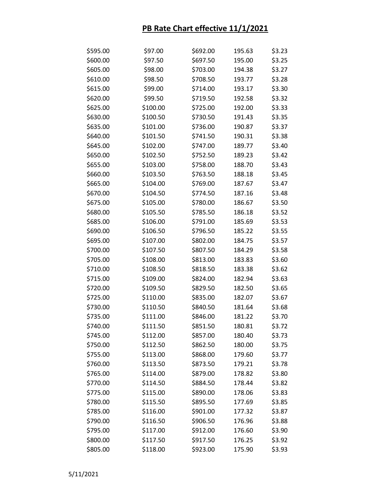| \$595.00 | \$97.00  | \$692.00 | 195.63 | \$3.23 |
|----------|----------|----------|--------|--------|
| \$600.00 | \$97.50  | \$697.50 | 195.00 | \$3.25 |
| \$605.00 | \$98.00  | \$703.00 | 194.38 | \$3.27 |
| \$610.00 | \$98.50  | \$708.50 | 193.77 | \$3.28 |
| \$615.00 | \$99.00  | \$714.00 | 193.17 | \$3.30 |
| \$620.00 | \$99.50  | \$719.50 | 192.58 | \$3.32 |
| \$625.00 | \$100.00 | \$725.00 | 192.00 | \$3.33 |
| \$630.00 | \$100.50 | \$730.50 | 191.43 | \$3.35 |
| \$635.00 | \$101.00 | \$736.00 | 190.87 | \$3.37 |
| \$640.00 | \$101.50 | \$741.50 | 190.31 | \$3.38 |
| \$645.00 | \$102.00 | \$747.00 | 189.77 | \$3.40 |
| \$650.00 | \$102.50 | \$752.50 | 189.23 | \$3.42 |
| \$655.00 | \$103.00 | \$758.00 | 188.70 | \$3.43 |
| \$660.00 | \$103.50 | \$763.50 | 188.18 | \$3.45 |
| \$665.00 | \$104.00 | \$769.00 | 187.67 | \$3.47 |
| \$670.00 | \$104.50 | \$774.50 | 187.16 | \$3.48 |
| \$675.00 | \$105.00 | \$780.00 | 186.67 | \$3.50 |
| \$680.00 | \$105.50 | \$785.50 | 186.18 | \$3.52 |
| \$685.00 | \$106.00 | \$791.00 | 185.69 | \$3.53 |
| \$690.00 | \$106.50 | \$796.50 | 185.22 | \$3.55 |
| \$695.00 | \$107.00 | \$802.00 | 184.75 | \$3.57 |
| \$700.00 | \$107.50 | \$807.50 | 184.29 | \$3.58 |
| \$705.00 | \$108.00 | \$813.00 | 183.83 | \$3.60 |
| \$710.00 | \$108.50 | \$818.50 | 183.38 | \$3.62 |
| \$715.00 | \$109.00 | \$824.00 | 182.94 | \$3.63 |
| \$720.00 | \$109.50 | \$829.50 | 182.50 | \$3.65 |
| \$725.00 | \$110.00 | \$835.00 | 182.07 | \$3.67 |
| \$730.00 | \$110.50 | \$840.50 | 181.64 | \$3.68 |
| \$735.00 | \$111.00 | \$846.00 | 181.22 | \$3.70 |
| \$740.00 | \$111.50 | \$851.50 | 180.81 | \$3.72 |
| \$745.00 | \$112.00 | \$857.00 | 180.40 | \$3.73 |
| \$750.00 | \$112.50 | \$862.50 | 180.00 | \$3.75 |
| \$755.00 | \$113.00 | \$868.00 | 179.60 | \$3.77 |
| \$760.00 | \$113.50 | \$873.50 | 179.21 | \$3.78 |
| \$765.00 | \$114.00 | \$879.00 | 178.82 | \$3.80 |
| \$770.00 | \$114.50 | \$884.50 | 178.44 | \$3.82 |
| \$775.00 | \$115.00 | \$890.00 | 178.06 | \$3.83 |
| \$780.00 | \$115.50 | \$895.50 | 177.69 | \$3.85 |
| \$785.00 | \$116.00 | \$901.00 | 177.32 | \$3.87 |
| \$790.00 | \$116.50 | \$906.50 | 176.96 | \$3.88 |
| \$795.00 | \$117.00 | \$912.00 | 176.60 | \$3.90 |
| \$800.00 | \$117.50 | \$917.50 | 176.25 | \$3.92 |
| \$805.00 | \$118.00 | \$923.00 | 175.90 | \$3.93 |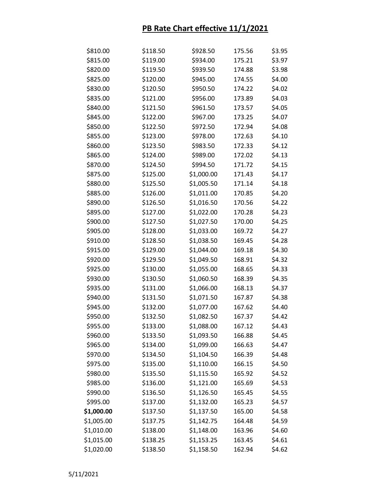| \$810.00   | \$118.50 | \$928.50   | 175.56 | \$3.95 |
|------------|----------|------------|--------|--------|
| \$815.00   | \$119.00 | \$934.00   | 175.21 | \$3.97 |
| \$820.00   | \$119.50 | \$939.50   | 174.88 | \$3.98 |
| \$825.00   | \$120.00 | \$945.00   | 174.55 | \$4.00 |
| \$830.00   | \$120.50 | \$950.50   | 174.22 | \$4.02 |
| \$835.00   | \$121.00 | \$956.00   | 173.89 | \$4.03 |
| \$840.00   | \$121.50 | \$961.50   | 173.57 | \$4.05 |
| \$845.00   | \$122.00 | \$967.00   | 173.25 | \$4.07 |
| \$850.00   | \$122.50 | \$972.50   | 172.94 | \$4.08 |
| \$855.00   | \$123.00 | \$978.00   | 172.63 | \$4.10 |
| \$860.00   | \$123.50 | \$983.50   | 172.33 | \$4.12 |
| \$865.00   | \$124.00 | \$989.00   | 172.02 | \$4.13 |
| \$870.00   | \$124.50 | \$994.50   | 171.72 | \$4.15 |
| \$875.00   | \$125.00 | \$1,000.00 | 171.43 | \$4.17 |
| \$880.00   | \$125.50 | \$1,005.50 | 171.14 | \$4.18 |
| \$885.00   | \$126.00 | \$1,011.00 | 170.85 | \$4.20 |
| \$890.00   | \$126.50 | \$1,016.50 | 170.56 | \$4.22 |
| \$895.00   | \$127.00 | \$1,022.00 | 170.28 | \$4.23 |
| \$900.00   | \$127.50 | \$1,027.50 | 170.00 | \$4.25 |
| \$905.00   | \$128.00 | \$1,033.00 | 169.72 | \$4.27 |
| \$910.00   | \$128.50 | \$1,038.50 | 169.45 | \$4.28 |
| \$915.00   | \$129.00 | \$1,044.00 | 169.18 | \$4.30 |
| \$920.00   | \$129.50 | \$1,049.50 | 168.91 | \$4.32 |
| \$925.00   | \$130.00 | \$1,055.00 | 168.65 | \$4.33 |
| \$930.00   | \$130.50 | \$1,060.50 | 168.39 | \$4.35 |
| \$935.00   | \$131.00 | \$1,066.00 | 168.13 | \$4.37 |
| \$940.00   | \$131.50 | \$1,071.50 | 167.87 | \$4.38 |
| \$945.00   | \$132.00 | \$1,077.00 | 167.62 | \$4.40 |
| \$950.00   | \$132.50 | \$1,082.50 | 167.37 | \$4.42 |
| \$955.00   | \$133.00 | \$1,088.00 | 167.12 | \$4.43 |
| \$960.00   | \$133.50 | \$1,093.50 | 166.88 | \$4.45 |
| \$965.00   | \$134.00 | \$1,099.00 | 166.63 | \$4.47 |
| \$970.00   | \$134.50 | \$1,104.50 | 166.39 | \$4.48 |
| \$975.00   | \$135.00 | \$1,110.00 | 166.15 | \$4.50 |
| \$980.00   | \$135.50 | \$1,115.50 | 165.92 | \$4.52 |
| \$985.00   | \$136.00 | \$1,121.00 | 165.69 | \$4.53 |
| \$990.00   | \$136.50 | \$1,126.50 | 165.45 | \$4.55 |
| \$995.00   | \$137.00 | \$1,132.00 | 165.23 | \$4.57 |
| \$1,000.00 | \$137.50 | \$1,137.50 | 165.00 | \$4.58 |
| \$1,005.00 | \$137.75 | \$1,142.75 | 164.48 | \$4.59 |
| \$1,010.00 | \$138.00 | \$1,148.00 | 163.96 | \$4.60 |
| \$1,015.00 | \$138.25 | \$1,153.25 | 163.45 | \$4.61 |
| \$1,020.00 | \$138.50 | \$1,158.50 | 162.94 | \$4.62 |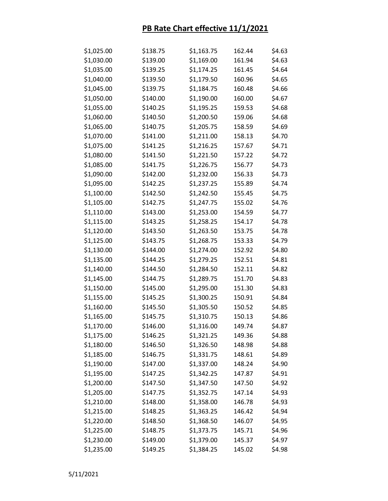| \$1,025.00 | \$138.75 | \$1,163.75 | 162.44 | \$4.63 |
|------------|----------|------------|--------|--------|
| \$1,030.00 | \$139.00 | \$1,169.00 | 161.94 | \$4.63 |
| \$1,035.00 | \$139.25 | \$1,174.25 | 161.45 | \$4.64 |
| \$1,040.00 | \$139.50 | \$1,179.50 | 160.96 | \$4.65 |
| \$1,045.00 | \$139.75 | \$1,184.75 | 160.48 | \$4.66 |
| \$1,050.00 | \$140.00 | \$1,190.00 | 160.00 | \$4.67 |
| \$1,055.00 | \$140.25 | \$1,195.25 | 159.53 | \$4.68 |
| \$1,060.00 | \$140.50 | \$1,200.50 | 159.06 | \$4.68 |
| \$1,065.00 | \$140.75 | \$1,205.75 | 158.59 | \$4.69 |
| \$1,070.00 | \$141.00 | \$1,211.00 | 158.13 | \$4.70 |
| \$1,075.00 | \$141.25 | \$1,216.25 | 157.67 | \$4.71 |
| \$1,080.00 | \$141.50 | \$1,221.50 | 157.22 | \$4.72 |
| \$1,085.00 | \$141.75 | \$1,226.75 | 156.77 | \$4.73 |
| \$1,090.00 | \$142.00 | \$1,232.00 | 156.33 | \$4.73 |
| \$1,095.00 | \$142.25 | \$1,237.25 | 155.89 | \$4.74 |
| \$1,100.00 | \$142.50 | \$1,242.50 | 155.45 | \$4.75 |
| \$1,105.00 | \$142.75 | \$1,247.75 | 155.02 | \$4.76 |
| \$1,110.00 | \$143.00 | \$1,253.00 | 154.59 | \$4.77 |
| \$1,115.00 | \$143.25 | \$1,258.25 | 154.17 | \$4.78 |
| \$1,120.00 | \$143.50 | \$1,263.50 | 153.75 | \$4.78 |
| \$1,125.00 | \$143.75 | \$1,268.75 | 153.33 | \$4.79 |
| \$1,130.00 | \$144.00 | \$1,274.00 | 152.92 | \$4.80 |
| \$1,135.00 | \$144.25 | \$1,279.25 | 152.51 | \$4.81 |
| \$1,140.00 | \$144.50 | \$1,284.50 | 152.11 | \$4.82 |
| \$1,145.00 | \$144.75 | \$1,289.75 | 151.70 | \$4.83 |
| \$1,150.00 | \$145.00 | \$1,295.00 | 151.30 | \$4.83 |
| \$1,155.00 | \$145.25 | \$1,300.25 | 150.91 | \$4.84 |
| \$1,160.00 | \$145.50 | \$1,305.50 | 150.52 | \$4.85 |
| \$1,165.00 | \$145.75 | \$1,310.75 | 150.13 | \$4.86 |
| \$1,170.00 | \$146.00 | \$1,316.00 | 149.74 | \$4.87 |
| \$1,175.00 | \$146.25 | \$1,321.25 | 149.36 | \$4.88 |
| \$1,180.00 | \$146.50 | \$1,326.50 | 148.98 | \$4.88 |
| \$1,185.00 | \$146.75 | \$1,331.75 | 148.61 | \$4.89 |
| \$1,190.00 | \$147.00 | \$1,337.00 | 148.24 | \$4.90 |
| \$1,195.00 | \$147.25 | \$1,342.25 | 147.87 | \$4.91 |
| \$1,200.00 | \$147.50 | \$1,347.50 | 147.50 | \$4.92 |
| \$1,205.00 | \$147.75 | \$1,352.75 | 147.14 | \$4.93 |
| \$1,210.00 | \$148.00 | \$1,358.00 | 146.78 | \$4.93 |
| \$1,215.00 | \$148.25 | \$1,363.25 | 146.42 | \$4.94 |
| \$1,220.00 | \$148.50 | \$1,368.50 | 146.07 | \$4.95 |
| \$1,225.00 | \$148.75 | \$1,373.75 | 145.71 | \$4.96 |
| \$1,230.00 | \$149.00 | \$1,379.00 | 145.37 | \$4.97 |
| \$1,235.00 | \$149.25 | \$1,384.25 | 145.02 | \$4.98 |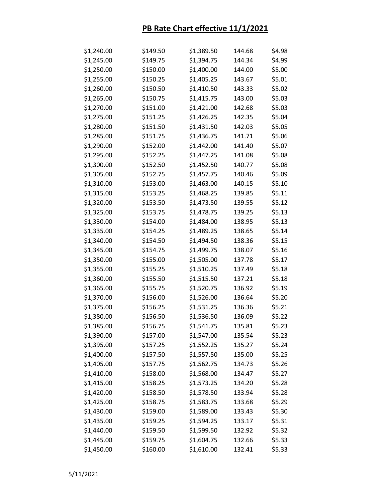| \$1,240.00 | \$149.50 | \$1,389.50 | 144.68 | \$4.98 |
|------------|----------|------------|--------|--------|
| \$1,245.00 | \$149.75 | \$1,394.75 | 144.34 | \$4.99 |
| \$1,250.00 | \$150.00 | \$1,400.00 | 144.00 | \$5.00 |
| \$1,255.00 | \$150.25 | \$1,405.25 | 143.67 | \$5.01 |
| \$1,260.00 | \$150.50 | \$1,410.50 | 143.33 | \$5.02 |
| \$1,265.00 | \$150.75 | \$1,415.75 | 143.00 | \$5.03 |
| \$1,270.00 | \$151.00 | \$1,421.00 | 142.68 | \$5.03 |
| \$1,275.00 | \$151.25 | \$1,426.25 | 142.35 | \$5.04 |
| \$1,280.00 | \$151.50 | \$1,431.50 | 142.03 | \$5.05 |
| \$1,285.00 | \$151.75 | \$1,436.75 | 141.71 | \$5.06 |
| \$1,290.00 | \$152.00 | \$1,442.00 | 141.40 | \$5.07 |
| \$1,295.00 | \$152.25 | \$1,447.25 | 141.08 | \$5.08 |
| \$1,300.00 | \$152.50 | \$1,452.50 | 140.77 | \$5.08 |
| \$1,305.00 | \$152.75 | \$1,457.75 | 140.46 | \$5.09 |
| \$1,310.00 | \$153.00 | \$1,463.00 | 140.15 | \$5.10 |
| \$1,315.00 | \$153.25 | \$1,468.25 | 139.85 | \$5.11 |
| \$1,320.00 | \$153.50 | \$1,473.50 | 139.55 | \$5.12 |
| \$1,325.00 | \$153.75 | \$1,478.75 | 139.25 | \$5.13 |
| \$1,330.00 | \$154.00 | \$1,484.00 | 138.95 | \$5.13 |
| \$1,335.00 | \$154.25 | \$1,489.25 | 138.65 | \$5.14 |
| \$1,340.00 | \$154.50 | \$1,494.50 | 138.36 | \$5.15 |
| \$1,345.00 | \$154.75 | \$1,499.75 | 138.07 | \$5.16 |
| \$1,350.00 | \$155.00 | \$1,505.00 | 137.78 | \$5.17 |
| \$1,355.00 | \$155.25 | \$1,510.25 | 137.49 | \$5.18 |
| \$1,360.00 | \$155.50 | \$1,515.50 | 137.21 | \$5.18 |
| \$1,365.00 | \$155.75 | \$1,520.75 | 136.92 | \$5.19 |
| \$1,370.00 | \$156.00 | \$1,526.00 | 136.64 | \$5.20 |
| \$1,375.00 | \$156.25 | \$1,531.25 | 136.36 | \$5.21 |
| \$1,380.00 | \$156.50 | \$1,536.50 | 136.09 | \$5.22 |
| \$1,385.00 | \$156.75 | \$1,541.75 | 135.81 | \$5.23 |
| \$1,390.00 | \$157.00 | \$1,547.00 | 135.54 | \$5.23 |
| \$1,395.00 | \$157.25 | \$1,552.25 | 135.27 | \$5.24 |
| \$1,400.00 | \$157.50 | \$1,557.50 | 135.00 | \$5.25 |
| \$1,405.00 | \$157.75 | \$1,562.75 | 134.73 | \$5.26 |
| \$1,410.00 | \$158.00 | \$1,568.00 | 134.47 | \$5.27 |
| \$1,415.00 | \$158.25 | \$1,573.25 | 134.20 | \$5.28 |
| \$1,420.00 | \$158.50 | \$1,578.50 | 133.94 | \$5.28 |
| \$1,425.00 | \$158.75 | \$1,583.75 | 133.68 | \$5.29 |
| \$1,430.00 | \$159.00 | \$1,589.00 | 133.43 | \$5.30 |
| \$1,435.00 | \$159.25 | \$1,594.25 | 133.17 | \$5.31 |
| \$1,440.00 | \$159.50 | \$1,599.50 | 132.92 | \$5.32 |
| \$1,445.00 | \$159.75 | \$1,604.75 | 132.66 | \$5.33 |
| \$1,450.00 | \$160.00 | \$1,610.00 | 132.41 | \$5.33 |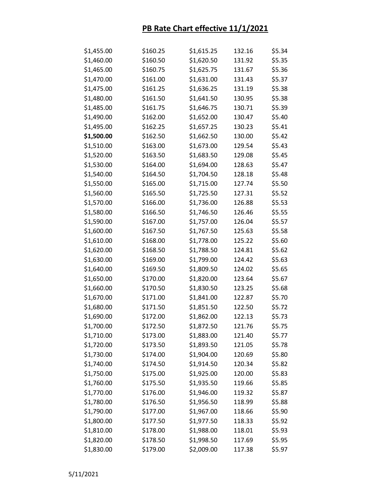| \$1,455.00 | \$160.25 | \$1,615.25 | 132.16 | \$5.34 |
|------------|----------|------------|--------|--------|
| \$1,460.00 | \$160.50 | \$1,620.50 | 131.92 | \$5.35 |
| \$1,465.00 | \$160.75 | \$1,625.75 | 131.67 | \$5.36 |
| \$1,470.00 | \$161.00 | \$1,631.00 | 131.43 | \$5.37 |
| \$1,475.00 | \$161.25 | \$1,636.25 | 131.19 | \$5.38 |
| \$1,480.00 | \$161.50 | \$1,641.50 | 130.95 | \$5.38 |
| \$1,485.00 | \$161.75 | \$1,646.75 | 130.71 | \$5.39 |
| \$1,490.00 | \$162.00 | \$1,652.00 | 130.47 | \$5.40 |
| \$1,495.00 | \$162.25 | \$1,657.25 | 130.23 | \$5.41 |
| \$1,500.00 | \$162.50 | \$1,662.50 | 130.00 | \$5.42 |
| \$1,510.00 | \$163.00 | \$1,673.00 | 129.54 | \$5.43 |
| \$1,520.00 | \$163.50 | \$1,683.50 | 129.08 | \$5.45 |
| \$1,530.00 | \$164.00 | \$1,694.00 | 128.63 | \$5.47 |
| \$1,540.00 | \$164.50 | \$1,704.50 | 128.18 | \$5.48 |
| \$1,550.00 | \$165.00 | \$1,715.00 | 127.74 | \$5.50 |
| \$1,560.00 | \$165.50 | \$1,725.50 | 127.31 | \$5.52 |
| \$1,570.00 | \$166.00 | \$1,736.00 | 126.88 | \$5.53 |
| \$1,580.00 | \$166.50 | \$1,746.50 | 126.46 | \$5.55 |
| \$1,590.00 | \$167.00 | \$1,757.00 | 126.04 | \$5.57 |
| \$1,600.00 | \$167.50 | \$1,767.50 | 125.63 | \$5.58 |
| \$1,610.00 | \$168.00 | \$1,778.00 | 125.22 | \$5.60 |
| \$1,620.00 | \$168.50 | \$1,788.50 | 124.81 | \$5.62 |
| \$1,630.00 | \$169.00 | \$1,799.00 | 124.42 | \$5.63 |
| \$1,640.00 | \$169.50 | \$1,809.50 | 124.02 | \$5.65 |
| \$1,650.00 | \$170.00 | \$1,820.00 | 123.64 | \$5.67 |
| \$1,660.00 | \$170.50 | \$1,830.50 | 123.25 | \$5.68 |
| \$1,670.00 | \$171.00 | \$1,841.00 | 122.87 | \$5.70 |
| \$1,680.00 | \$171.50 | \$1,851.50 | 122.50 | \$5.72 |
| \$1,690.00 | \$172.00 | \$1,862.00 | 122.13 | \$5.73 |
| \$1,700.00 | \$172.50 | \$1,872.50 | 121.76 | \$5.75 |
| \$1,710.00 | \$173.00 | \$1,883.00 | 121.40 | \$5.77 |
| \$1,720.00 | \$173.50 | \$1,893.50 | 121.05 | \$5.78 |
| \$1,730.00 | \$174.00 | \$1,904.00 | 120.69 | \$5.80 |
| \$1,740.00 | \$174.50 | \$1,914.50 | 120.34 | \$5.82 |
| \$1,750.00 | \$175.00 | \$1,925.00 | 120.00 | \$5.83 |
| \$1,760.00 | \$175.50 | \$1,935.50 | 119.66 | \$5.85 |
| \$1,770.00 | \$176.00 | \$1,946.00 | 119.32 | \$5.87 |
| \$1,780.00 | \$176.50 | \$1,956.50 | 118.99 | \$5.88 |
| \$1,790.00 | \$177.00 | \$1,967.00 | 118.66 | \$5.90 |
| \$1,800.00 | \$177.50 | \$1,977.50 | 118.33 | \$5.92 |
| \$1,810.00 | \$178.00 | \$1,988.00 | 118.01 | \$5.93 |
| \$1,820.00 | \$178.50 | \$1,998.50 | 117.69 | \$5.95 |
| \$1,830.00 | \$179.00 | \$2,009.00 | 117.38 | \$5.97 |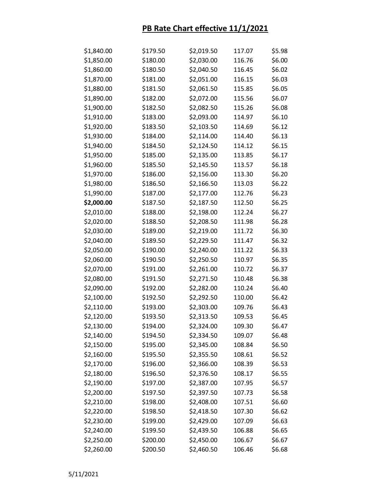| \$1,840.00 | \$179.50 | \$2,019.50 | 117.07 | \$5.98 |
|------------|----------|------------|--------|--------|
| \$1,850.00 | \$180.00 | \$2,030.00 | 116.76 | \$6.00 |
| \$1,860.00 | \$180.50 | \$2,040.50 | 116.45 | \$6.02 |
| \$1,870.00 | \$181.00 | \$2,051.00 | 116.15 | \$6.03 |
| \$1,880.00 | \$181.50 | \$2,061.50 | 115.85 | \$6.05 |
| \$1,890.00 | \$182.00 | \$2,072.00 | 115.56 | \$6.07 |
| \$1,900.00 | \$182.50 | \$2,082.50 | 115.26 | \$6.08 |
| \$1,910.00 | \$183.00 | \$2,093.00 | 114.97 | \$6.10 |
| \$1,920.00 | \$183.50 | \$2,103.50 | 114.69 | \$6.12 |
| \$1,930.00 | \$184.00 | \$2,114.00 | 114.40 | \$6.13 |
| \$1,940.00 | \$184.50 | \$2,124.50 | 114.12 | \$6.15 |
| \$1,950.00 | \$185.00 | \$2,135.00 | 113.85 | \$6.17 |
| \$1,960.00 | \$185.50 | \$2,145.50 | 113.57 | \$6.18 |
| \$1,970.00 | \$186.00 | \$2,156.00 | 113.30 | \$6.20 |
| \$1,980.00 | \$186.50 | \$2,166.50 | 113.03 | \$6.22 |
| \$1,990.00 | \$187.00 | \$2,177.00 | 112.76 | \$6.23 |
| \$2,000.00 | \$187.50 | \$2,187.50 | 112.50 | \$6.25 |
| \$2,010.00 | \$188.00 | \$2,198.00 | 112.24 | \$6.27 |
| \$2,020.00 | \$188.50 | \$2,208.50 | 111.98 | \$6.28 |
| \$2,030.00 | \$189.00 | \$2,219.00 | 111.72 | \$6.30 |
| \$2,040.00 | \$189.50 | \$2,229.50 | 111.47 | \$6.32 |
| \$2,050.00 | \$190.00 | \$2,240.00 | 111.22 | \$6.33 |
| \$2,060.00 | \$190.50 | \$2,250.50 | 110.97 | \$6.35 |
| \$2,070.00 | \$191.00 | \$2,261.00 | 110.72 | \$6.37 |
| \$2,080.00 | \$191.50 | \$2,271.50 | 110.48 | \$6.38 |
| \$2,090.00 | \$192.00 | \$2,282.00 | 110.24 | \$6.40 |
| \$2,100.00 | \$192.50 | \$2,292.50 | 110.00 | \$6.42 |
| \$2,110.00 | \$193.00 | \$2,303.00 | 109.76 | \$6.43 |
| \$2,120.00 | \$193.50 | \$2,313.50 | 109.53 | \$6.45 |
| \$2,130.00 | \$194.00 | \$2,324.00 | 109.30 | \$6.47 |
| \$2,140.00 | \$194.50 | \$2,334.50 | 109.07 | \$6.48 |
| \$2,150.00 | \$195.00 | \$2,345.00 | 108.84 | \$6.50 |
| \$2,160.00 | \$195.50 | \$2,355.50 | 108.61 | \$6.52 |
| \$2,170.00 | \$196.00 | \$2,366.00 | 108.39 | \$6.53 |
| \$2,180.00 | \$196.50 | \$2,376.50 | 108.17 | \$6.55 |
| \$2,190.00 | \$197.00 | \$2,387.00 | 107.95 | \$6.57 |
| \$2,200.00 | \$197.50 | \$2,397.50 | 107.73 | \$6.58 |
| \$2,210.00 | \$198.00 | \$2,408.00 | 107.51 | \$6.60 |
| \$2,220.00 | \$198.50 | \$2,418.50 | 107.30 | \$6.62 |
| \$2,230.00 | \$199.00 | \$2,429.00 | 107.09 | \$6.63 |
| \$2,240.00 | \$199.50 | \$2,439.50 | 106.88 | \$6.65 |
| \$2,250.00 | \$200.00 | \$2,450.00 | 106.67 | \$6.67 |
| \$2,260.00 | \$200.50 | \$2,460.50 | 106.46 | \$6.68 |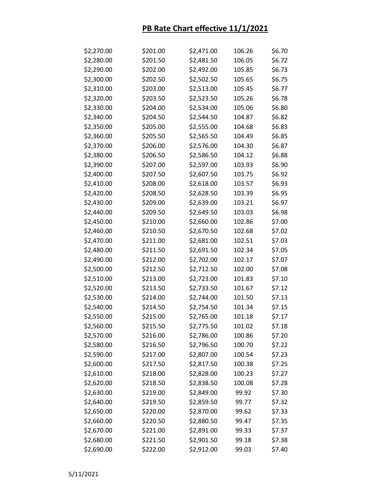| \$2,270.00 | \$201.00 | \$2,471.00 | 106.26 | \$6.70 |
|------------|----------|------------|--------|--------|
| \$2,280.00 | \$201.50 | \$2,481.50 | 106.05 | \$6.72 |
| \$2,290.00 | \$202.00 | \$2,492.00 | 105.85 | \$6.73 |
| \$2,300.00 | \$202.50 | \$2,502.50 | 105.65 | \$6.75 |
| \$2,310.00 | \$203.00 | \$2,513.00 | 105.45 | \$6.77 |
| \$2,320.00 | \$203.50 | \$2,523.50 | 105.26 | \$6.78 |
| \$2,330.00 | \$204.00 | \$2,534.00 | 105.06 | \$6.80 |
| \$2,340.00 | \$204.50 | \$2,544.50 | 104.87 | \$6.82 |
| \$2,350.00 | \$205.00 | \$2,555.00 | 104.68 | \$6.83 |
| \$2,360.00 | \$205.50 | \$2,565.50 | 104.49 | \$6.85 |
| \$2,370.00 | \$206.00 | \$2,576.00 | 104.30 | \$6.87 |
| \$2,380.00 | \$206.50 | \$2,586.50 | 104.12 | \$6.88 |
| \$2,390.00 | \$207.00 | \$2,597.00 | 103.93 | \$6.90 |
| \$2,400.00 | \$207.50 | \$2,607.50 | 103.75 | \$6.92 |
| \$2,410.00 | \$208.00 | \$2,618.00 | 103.57 | \$6.93 |
| \$2,420.00 | \$208.50 | \$2,628.50 | 103.39 | \$6.95 |
| \$2,430.00 | \$209.00 | \$2,639.00 | 103.21 | \$6.97 |
| \$2,440.00 | \$209.50 | \$2,649.50 | 103.03 | \$6.98 |
| \$2,450.00 | \$210.00 | \$2,660.00 | 102.86 | \$7.00 |
| \$2,460.00 | \$210.50 | \$2,670.50 | 102.68 | \$7.02 |
| \$2,470.00 | \$211.00 | \$2,681.00 | 102.51 | \$7.03 |
| \$2,480.00 | \$211.50 | \$2,691.50 | 102.34 | \$7.05 |
| \$2,490.00 | \$212.00 | \$2,702.00 | 102.17 | \$7.07 |
| \$2,500.00 | \$212.50 | \$2,712.50 | 102.00 | \$7.08 |
| \$2,510.00 | \$213.00 | \$2,723.00 | 101.83 | \$7.10 |
| \$2,520.00 | \$213.50 | \$2,733.50 | 101.67 | \$7.12 |
| \$2,530.00 | \$214.00 | \$2,744.00 | 101.50 | \$7.13 |
| \$2,540.00 | \$214.50 | \$2,754.50 | 101.34 | \$7.15 |
| \$2,550.00 | \$215.00 | \$2,765.00 | 101.18 | \$7.17 |
| \$2,560.00 | \$215.50 | \$2,775.50 | 101.02 | \$7.18 |
| \$2,570.00 | \$216.00 | \$2,786.00 | 100.86 | \$7.20 |
| \$2,580.00 | \$216.50 | \$2,796.50 | 100.70 | \$7.22 |
| \$2,590.00 | \$217.00 | \$2,807.00 | 100.54 | \$7.23 |
| \$2,600.00 | \$217.50 | \$2,817.50 | 100.38 | \$7.25 |
| \$2,610.00 | \$218.00 | \$2,828.00 | 100.23 | \$7.27 |
| \$2,620.00 | \$218.50 | \$2,838.50 | 100.08 | \$7.28 |
| \$2,630.00 | \$219.00 | \$2,849.00 | 99.92  | \$7.30 |
| \$2,640.00 | \$219.50 | \$2,859.50 | 99.77  | \$7.32 |
| \$2,650.00 | \$220.00 | \$2,870.00 | 99.62  | \$7.33 |
| \$2,660.00 | \$220.50 | \$2,880.50 | 99.47  | \$7.35 |
| \$2,670.00 | \$221.00 | \$2,891.00 | 99.33  | \$7.37 |
| \$2,680.00 | \$221.50 | \$2,901.50 | 99.18  | \$7.38 |
| \$2,690.00 | \$222.00 | \$2,912.00 | 99.03  | \$7.40 |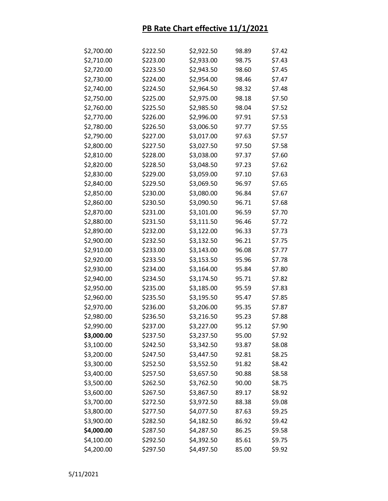| \$2,700.00 | \$222.50 | \$2,922.50 | 98.89 | \$7.42 |
|------------|----------|------------|-------|--------|
| \$2,710.00 | \$223.00 | \$2,933.00 | 98.75 | \$7.43 |
| \$2,720.00 | \$223.50 | \$2,943.50 | 98.60 | \$7.45 |
| \$2,730.00 | \$224.00 | \$2,954.00 | 98.46 | \$7.47 |
| \$2,740.00 | \$224.50 | \$2,964.50 | 98.32 | \$7.48 |
| \$2,750.00 | \$225.00 | \$2,975.00 | 98.18 | \$7.50 |
| \$2,760.00 | \$225.50 | \$2,985.50 | 98.04 | \$7.52 |
| \$2,770.00 | \$226.00 | \$2,996.00 | 97.91 | \$7.53 |
| \$2,780.00 | \$226.50 | \$3,006.50 | 97.77 | \$7.55 |
| \$2,790.00 | \$227.00 | \$3,017.00 | 97.63 | \$7.57 |
| \$2,800.00 | \$227.50 | \$3,027.50 | 97.50 | \$7.58 |
| \$2,810.00 | \$228.00 | \$3,038.00 | 97.37 | \$7.60 |
| \$2,820.00 | \$228.50 | \$3,048.50 | 97.23 | \$7.62 |
| \$2,830.00 | \$229.00 | \$3,059.00 | 97.10 | \$7.63 |
| \$2,840.00 | \$229.50 | \$3,069.50 | 96.97 | \$7.65 |
| \$2,850.00 | \$230.00 | \$3,080.00 | 96.84 | \$7.67 |
| \$2,860.00 | \$230.50 | \$3,090.50 | 96.71 | \$7.68 |
| \$2,870.00 | \$231.00 | \$3,101.00 | 96.59 | \$7.70 |
| \$2,880.00 | \$231.50 | \$3,111.50 | 96.46 | \$7.72 |
| \$2,890.00 | \$232.00 | \$3,122.00 | 96.33 | \$7.73 |
| \$2,900.00 | \$232.50 | \$3,132.50 | 96.21 | \$7.75 |
| \$2,910.00 | \$233.00 | \$3,143.00 | 96.08 | \$7.77 |
| \$2,920.00 | \$233.50 | \$3,153.50 | 95.96 | \$7.78 |
| \$2,930.00 | \$234.00 | \$3,164.00 | 95.84 | \$7.80 |
| \$2,940.00 | \$234.50 | \$3,174.50 | 95.71 | \$7.82 |
| \$2,950.00 | \$235.00 | \$3,185.00 | 95.59 | \$7.83 |
| \$2,960.00 | \$235.50 | \$3,195.50 | 95.47 | \$7.85 |
| \$2,970.00 | \$236.00 | \$3,206.00 | 95.35 | \$7.87 |
| \$2,980.00 | \$236.50 | \$3,216.50 | 95.23 | \$7.88 |
| \$2,990.00 | \$237.00 | \$3,227.00 | 95.12 | \$7.90 |
| \$3,000.00 | \$237.50 | \$3,237.50 | 95.00 | \$7.92 |
| \$3,100.00 | \$242.50 | \$3,342.50 | 93.87 | \$8.08 |
| \$3,200.00 | \$247.50 | \$3,447.50 | 92.81 | \$8.25 |
| \$3,300.00 | \$252.50 | \$3,552.50 | 91.82 | \$8.42 |
| \$3,400.00 | \$257.50 | \$3,657.50 | 90.88 | \$8.58 |
| \$3,500.00 | \$262.50 | \$3,762.50 | 90.00 | \$8.75 |
| \$3,600.00 | \$267.50 | \$3,867.50 | 89.17 | \$8.92 |
| \$3,700.00 | \$272.50 | \$3,972.50 | 88.38 | \$9.08 |
| \$3,800.00 | \$277.50 | \$4,077.50 | 87.63 | \$9.25 |
| \$3,900.00 | \$282.50 | \$4,182.50 | 86.92 | \$9.42 |
| \$4,000.00 | \$287.50 | \$4,287.50 | 86.25 | \$9.58 |
| \$4,100.00 | \$292.50 | \$4,392.50 | 85.61 | \$9.75 |
| \$4,200.00 | \$297.50 | \$4,497.50 | 85.00 | \$9.92 |